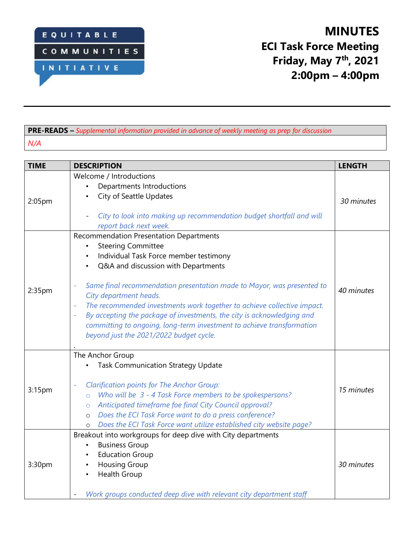

## **PRE-READS –** *Supplemental information provided in advance of weekly meeting as prep for discussion N/A*

| <b>TIME</b>        | <b>DESCRIPTION</b>                                                                                             | <b>LENGTH</b> |
|--------------------|----------------------------------------------------------------------------------------------------------------|---------------|
| 2:05 <sub>pm</sub> | Welcome / Introductions                                                                                        |               |
|                    | Departments Introductions                                                                                      |               |
|                    | City of Seattle Updates                                                                                        | 30 minutes    |
|                    | City to look into making up recommendation budget shortfall and will<br>report back next week.                 |               |
| 2:35pm             | <b>Recommendation Presentation Departments</b>                                                                 |               |
|                    | <b>Steering Committee</b>                                                                                      |               |
|                    | Individual Task Force member testimony                                                                         |               |
|                    | Q&A and discussion with Departments<br>$\bullet$                                                               |               |
|                    | Same final recommendation presentation made to Mayor, was presented to<br>City department heads.               | 40 minutes    |
|                    | The recommended investments work together to achieve collective impact.                                        |               |
|                    | By accepting the package of investments, the city is acknowledging and                                         |               |
|                    | committing to ongoing, long-term investment to achieve transformation                                          |               |
|                    | beyond just the 2021/2022 budget cycle.                                                                        |               |
|                    |                                                                                                                |               |
| 3:15pm             | The Anchor Group                                                                                               |               |
|                    | <b>Task Communication Strategy Update</b>                                                                      |               |
|                    |                                                                                                                |               |
|                    | <b>Clarification points for The Anchor Group:</b><br>Who will be 3 - 4 Task Force members to be spokespersons? | 15 minutes    |
|                    | $\circ$<br>Anticipated timeframe foe final City Council approval?                                              |               |
|                    | $\circ$<br>Does the ECI Task Force want to do a press conference?<br>$\circ$                                   |               |
|                    | Does the ECI Task Force want utilize established city website page?<br>$\circ$                                 |               |
| 3:30pm             | Breakout into workgroups for deep dive with City departments                                                   |               |
|                    | <b>Business Group</b>                                                                                          |               |
|                    | <b>Education Group</b>                                                                                         |               |
|                    | <b>Housing Group</b>                                                                                           | 30 minutes    |
|                    | Health Group                                                                                                   |               |
|                    |                                                                                                                |               |
|                    | Work groups conducted deep dive with relevant city department staff                                            |               |